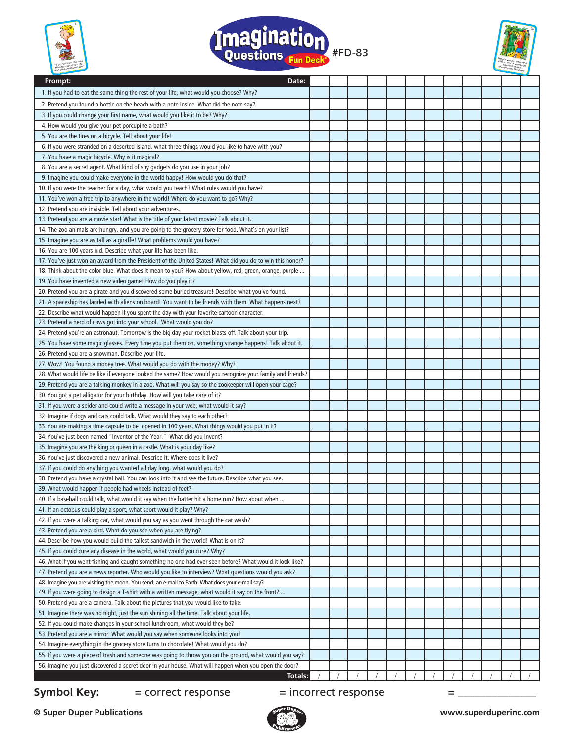





| Prompt:<br>Date:                                                                                          |  |  |  |  |  |  |
|-----------------------------------------------------------------------------------------------------------|--|--|--|--|--|--|
| 1. If you had to eat the same thing the rest of your life, what would you choose? Why?                    |  |  |  |  |  |  |
| 2. Pretend you found a bottle on the beach with a note inside. What did the note say?                     |  |  |  |  |  |  |
| 3. If you could change your first name, what would you like it to be? Why?                                |  |  |  |  |  |  |
| 4. How would you give your pet porcupine a bath?                                                          |  |  |  |  |  |  |
| 5. You are the tires on a bicycle. Tell about your life!                                                  |  |  |  |  |  |  |
| 6. If you were stranded on a deserted island, what three things would you like to have with you?          |  |  |  |  |  |  |
| 7. You have a magic bicycle. Why is it magical?                                                           |  |  |  |  |  |  |
| 8. You are a secret agent. What kind of spy gadgets do you use in your job?                               |  |  |  |  |  |  |
| 9. Imagine you could make everyone in the world happy! How would you do that?                             |  |  |  |  |  |  |
| 10. If you were the teacher for a day, what would you teach? What rules would you have?                   |  |  |  |  |  |  |
| 11. You've won a free trip to anywhere in the world! Where do you want to go? Why?                        |  |  |  |  |  |  |
| 12. Pretend you are invisible. Tell about your adventures.                                                |  |  |  |  |  |  |
| 13. Pretend you are a movie star! What is the title of your latest movie? Talk about it.                  |  |  |  |  |  |  |
| 14. The zoo animals are hungry, and you are going to the grocery store for food. What's on your list?     |  |  |  |  |  |  |
| 15. Imagine you are as tall as a giraffe! What problems would you have?                                   |  |  |  |  |  |  |
| 16. You are 100 years old. Describe what your life has been like.                                         |  |  |  |  |  |  |
| 17. You've just won an award from the President of the United States! What did you do to win this honor?  |  |  |  |  |  |  |
| 18. Think about the color blue. What does it mean to you? How about yellow, red, green, orange, purple    |  |  |  |  |  |  |
| 19. You have invented a new video game! How do you play it?                                               |  |  |  |  |  |  |
| 20. Pretend you are a pirate and you discovered some buried treasure! Describe what you've found.         |  |  |  |  |  |  |
| 21. A spaceship has landed with aliens on board! You want to be friends with them. What happens next?     |  |  |  |  |  |  |
| 22. Describe what would happen if you spent the day with your favorite cartoon character.                 |  |  |  |  |  |  |
| 23. Pretend a herd of cows got into your school. What would you do?                                       |  |  |  |  |  |  |
| 24. Pretend you're an astronaut. Tomorrow is the big day your rocket blasts off. Talk about your trip.    |  |  |  |  |  |  |
| 25. You have some magic glasses. Every time you put them on, something strange happens! Talk about it.    |  |  |  |  |  |  |
| 26. Pretend you are a snowman. Describe your life.                                                        |  |  |  |  |  |  |
| 27. Wow! You found a money tree. What would you do with the money? Why?                                   |  |  |  |  |  |  |
| 28. What would life be like if everyone looked the same? How would you recognize your family and friends? |  |  |  |  |  |  |
| 29. Pretend you are a talking monkey in a zoo. What will you say so the zookeeper will open your cage?    |  |  |  |  |  |  |
| 30. You got a pet alligator for your birthday. How will you take care of it?                              |  |  |  |  |  |  |
| 31. If you were a spider and could write a message in your web, what would it say?                        |  |  |  |  |  |  |
| 32. Imagine if dogs and cats could talk. What would they say to each other?                               |  |  |  |  |  |  |
| 33. You are making a time capsule to be opened in 100 years. What things would you put in it?             |  |  |  |  |  |  |
| 34. You've just been named "Inventor of the Year." What did you invent?                                   |  |  |  |  |  |  |
| 35. Imagine you are the king or queen in a castle. What is your day like?                                 |  |  |  |  |  |  |
| 36. You've just discovered a new animal. Describe it. Where does it live?                                 |  |  |  |  |  |  |
| 37. If you could do anything you wanted all day long, what would you do?                                  |  |  |  |  |  |  |
| 38. Pretend you have a crystal ball. You can look into it and see the future. Describe what you see.      |  |  |  |  |  |  |
| 39. What would happen if people had wheels instead of feet?                                               |  |  |  |  |  |  |
| 40. If a baseball could talk, what would it say when the batter hit a home run? How about when            |  |  |  |  |  |  |
| 41. If an octopus could play a sport, what sport would it play? Why?                                      |  |  |  |  |  |  |
| 42. If you were a talking car, what would you say as you went through the car wash?                       |  |  |  |  |  |  |
| 43. Pretend you are a bird. What do you see when you are flying?                                          |  |  |  |  |  |  |
| 44. Describe how you would build the tallest sandwich in the world! What is on it?                        |  |  |  |  |  |  |
| 45. If you could cure any disease in the world, what would you cure? Why?                                 |  |  |  |  |  |  |
| 46. What if you went fishing and caught something no one had ever seen before? What would it look like?   |  |  |  |  |  |  |
| 47. Pretend you are a news reporter. Who would you like to interview? What questions would you ask?       |  |  |  |  |  |  |
| 48. Imagine you are visiting the moon. You send an e-mail to Earth. What does your e-mail say?            |  |  |  |  |  |  |
| 49. If you were going to design a T-shirt with a written message, what would it say on the front?         |  |  |  |  |  |  |
| 50. Pretend you are a camera. Talk about the pictures that you would like to take.                        |  |  |  |  |  |  |
| 51. Imagine there was no night, just the sun shining all the time. Talk about your life.                  |  |  |  |  |  |  |
| 52. If you could make changes in your school lunchroom, what would they be?                               |  |  |  |  |  |  |
| 53. Pretend you are a mirror. What would you say when someone looks into you?                             |  |  |  |  |  |  |
| 54. Imagine everything in the grocery store turns to chocolate! What would you do?                        |  |  |  |  |  |  |
| 55. If you were a piece of trash and someone was going to throw you on the ground, what would you say?    |  |  |  |  |  |  |
| 56. Imagine you just discovered a secret door in your house. What will happen when you open the door?     |  |  |  |  |  |  |
| Totals:                                                                                                   |  |  |  |  |  |  |

## **Symbol Key:**  $=$  correct response  $=$  incorrect response  $=$